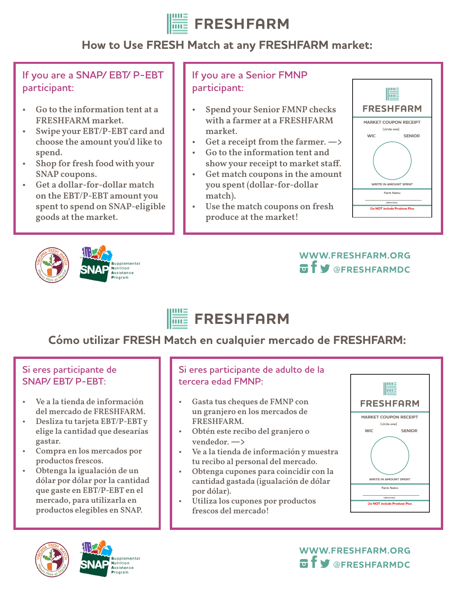

## **How to Use FRESH Match at any FRESHFARM market:**

**If you are a SNAP/ EBT/ P-EBT participant:**

- Go to the information tent at a FRESHFARM market.
- Swipe your EBT/P-EBT card and choose the amount you'd like to spend.
- Shop for fresh food with your SNAP coupons.
- Get a dollar-for-dollar match on the EBT/P-EBT amount you spent to spend on SNAP-eligible goods at the market.





### **If you are a Senior FMNP participant:**

- Spend your Senior FMNP checks with a farmer at a FRESHFARM market.
- Get a receipt from the farmer. **—>**
- Go to the information tent and show your receipt to market staff.
- Get match coupons in the amount you spent (dollar-for-dollar match).
- Use the match coupons on fresh produce at the market!



### **WWW.FRESHFARM.ORG @FRESHFARMDC**

#### **FRESHFARM**  $\overline{\text{m}}$

# **Cómo utilizar FRESH Match en cualquier mercado de FRESHFARM:**

#### **Si eres participante de SNAP/ EBT/ P-EBT:**

- Ve a la tienda de información del mercado de FRESHFARM.
- Desliza tu tarjeta EBT/P-EBT y elige la cantidad que desearías gastar.
- Compra en los mercados por productos frescos.
- Obtenga la igualación de un dólar por dólar por la cantidad que gaste en EBT/P-EBT en el mercado, para utilizarla en productos elegibles en SNAP.





#### **Si eres participante de adulto de la tercera edad FMNP:**

- Gasta tus cheques de FMNP con un granjero en los mercados de FRESHFARM.
- Obtén este recibo del granjero o vendedor. **—>**
- Ve a la tienda de información y muestra tu recibo al personal del mercado.
- Obtenga cupones para coincidir con la cantidad gastada (igualación de dólar por dólar).
- Utiliza los cupones por productos frescos del mercado!



**WWW.FRESHFARM.ORG @FRESHFARMDC**